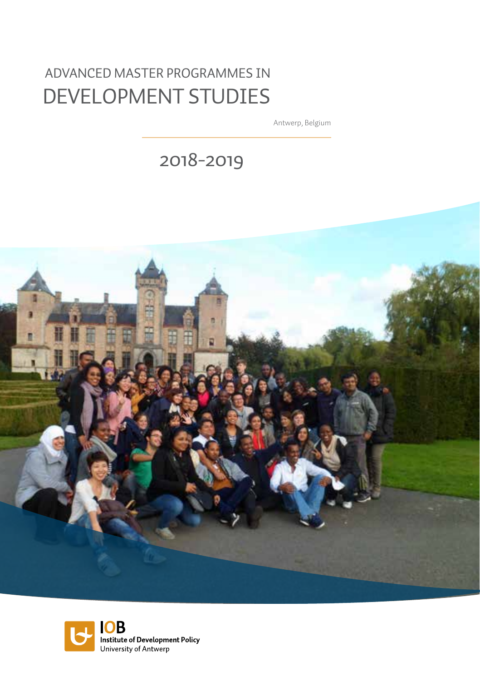# Advanced Master programmes in Development studies

Antwerp, Belgium

2018-2019



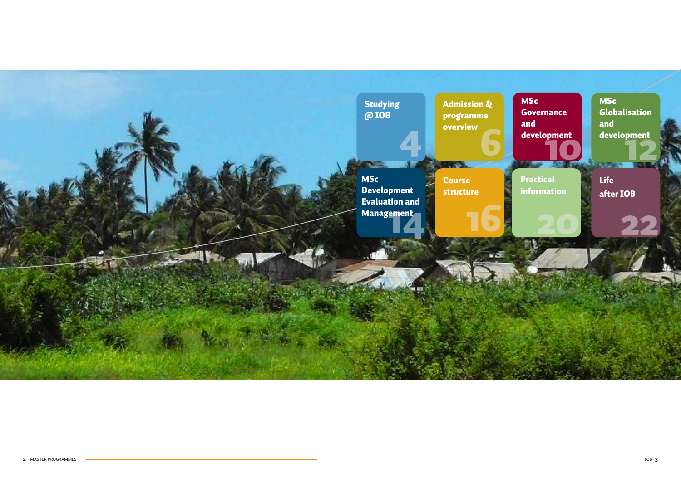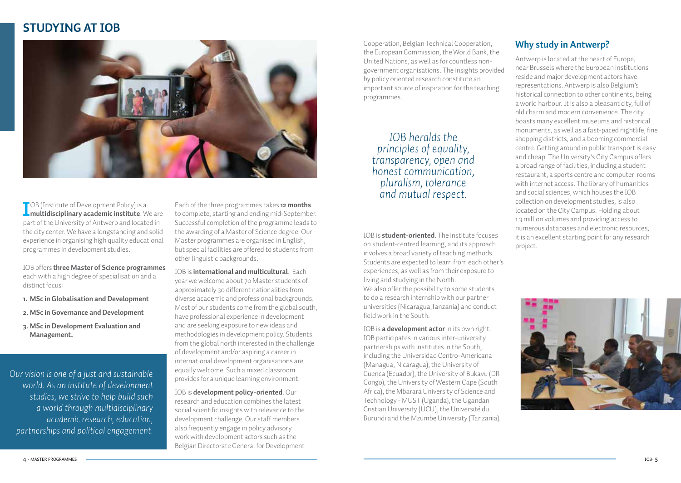# **STudying at IOB**



**I** CB (Institute of Development Policy) is a<br> **multidisciplinary academic institute**. We are **T** OB (Institute of Development Policy) is a part of the University of Antwerp and located in the city center. We have a longstanding and solid experience in organising high quality educational programmes in development studies.

IOB offers **three Master of Science programmes**  each with a high degree of specialisation and a distinct focus:

- **1. MSc in Globalisation and Development**
- **2. MSc in Governance and Development**
- **3. MSc in Development Evaluation and Management.**

*Our vision is one of a just and sustainable world. As an institute of development studies, we strive to help build such a world through multidisciplinary academic research, education, partnerships and political engagement.*

Each of the three programmes takes **12 months**  to complete, starting and ending mid-September. Successful completion of the programme leads to the awarding of a Master of Science degree. Our Master programmes are organised in English, but special facilities are offered to students from other linguistic backgrounds.

IOB is **international and multicultural**. Each year we welcome about 70 Master students of approximately 30 different nationalities from diverse academic and professional backgrounds. Most of our students come from the global south, have professional experience in development and are seeking exposure to new ideas and methodologies in development policy. Students from the global north interested in the challenge of development and/or aspiring a career in international development organisations are equally welcome. Such a mixed classroom provides for a unique learning environment.

IOB is **development policy-oriented**. Our research and education combines the latest social scientific insights with relevance to the development challenge. Our staff members also frequently engage in policy advisory work with development actors such as the Belgian Directorate General for Development Cooperation, Belgian Technical Cooperation, the European Commission, the World Bank, the United Nations, as well as for countless nongovernment organisations. The insights provided by policy oriented research constitute an important source of inspiration for the teaching programmes.

### *IOB heralds the principles of equality, transparency, open and honest communication, pluralism, tolerance and mutual respect.*

IOB is **student-oriented**. The institute focuses on student-centred learning, and its approach involves a broad variety of teaching methods. Students are expected to learn from each other's experiences, as well as from their exposure to living and studying in the North. We also offer the possibility to some students to do a research internship with our partner universities (Nicaragua,Tanzania) and conduct field work in the South.

IOB is **a development actor** in its own right. IOB participates in various inter-university partnerships with institutes in the South, including the Universidad Centro-Americana (Managua, Nicaragua), the University of Cuenca (Ecuador), the University of Bukavu (DR Congo), the University of Western Cape (South Africa), the Mbarara University of Science and Technology - MUST (Uganda), the Ugandan Cristian University (UCU), the Université du Burundi and the Mzumbe University (Tanzania).

### **Why study in Antwerp?**

Antwerp is located at the heart of Europe, near Brussels where the European institutions reside and major development actors have representations. Antwerp is also Belgium's historical connection to other continents, being a world harbour. It is also a pleasant city, full of old charm and modern convenience. The city boasts many excellent museums and historical monuments, as well as a fast-paced nightlife, fine shopping districts, and a booming commercial centre. Getting around in public transport is easy and cheap. The University's City Campus offers a broad range of facilities, including a student restaurant, a sports centre and computer rooms with internet access. The library of humanities and social sciences, which houses the IOB collection on development studies, is also located on the City Campus. Holding about 1.3 million volumes and providing access to numerous databases and electronic resources, it is an excellent starting point for any research project.

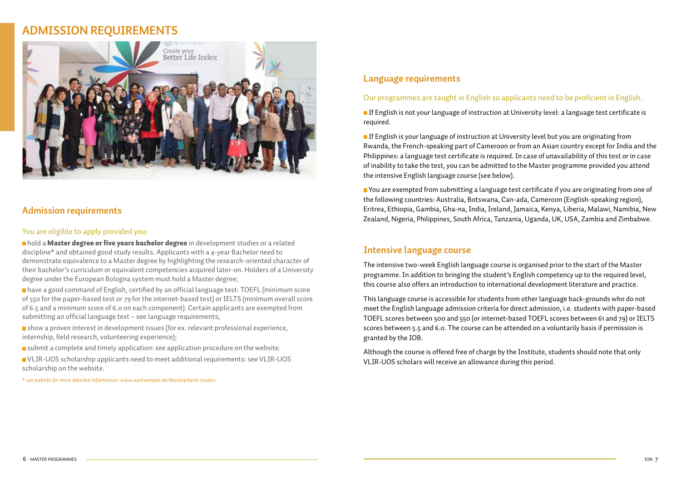# **Admission requirements**



### **Admission requirements**

### You are eligible to apply provided you:

nhold a Master degree or five years bachelor degree in development studies or a related discipline\* and obtained good study results. Applicants with a 4-year Bachelor need to demonstrate equivalence to a Master degree by highlighting the research-oriented character of their bachelor's curriculum or equivalent competencies acquired later-on. Holders of a University degree under the European Bologna system must hold a Master degree;

 have a good command of English, certified by an official language test: TOEFL (minimum score of 550 for the paper-based test or 79 for the internet-based test) or IELTS (minimum overall score of 6.5 and a minimum score of 6.0 on each component). Certain applicants are exempted from submitting an official language test – see language requirements;

show a proven interest in development issues (for ex. relevant professional experience, internship, field research, volunteering experience);

submit a complete and timely application: see application procedure on the website.

VLIR-UOS scholarship applicants need to meet additional requirements: see VLIR-UOS scholarship on the website.

*\* see website for more detailed information: www.uantwerpen.be/development-studies*

### **Language requirements**

#### Our programmes are taught in English so applicants need to be proficient in English.

**If English is not your language of instruction at University level: a language test certificate is** required.

**If English is your language of instruction at University level but you are originating from** Rwanda, the French-speaking part of Cameroon or from an Asian country except for India and the Philippines: a language test certificate is required. In case of unavailability of this test or in case of inability to take the test, you can be admitted to the Master programme provided you attend the intensive English language course (see below).

 You are exempted from submitting a language test certificate if you are originating from one of the following countries: Australia, Botswana, Can-ada, Cameroon (English-speaking region), Eritrea, Ethiopia, Gambia, Gha-na, India, Ireland, Jamaica, Kenya, Liberia, Malawi, Namibia, New Zealand, Nigeria, Philippines, South Africa, Tanzania, Uganda, UK, USA, Zambia and Zimbabwe.

### **Intensive language course**

The intensive two-week English language course is organised prior to the start of the Master programme. In addition to bringing the student's English competency up to the required level, this course also offers an introduction to international development literature and practice.

This language course is accessible for students from other language back-grounds who do not meet the English language admission criteria for direct admission, i.e. students with paper-based TOEFL scores between 500 and 550 (or internet-based TOEFL scores between 61 and 79) or IELTS scores between 5.5 and 6.0. The course can be attended on a voluntarily basis if permission is granted by the IOB.

Although the course is offered free of charge by the Institute, students should note that only VLIR-UOS scholars will receive an allowance during this period.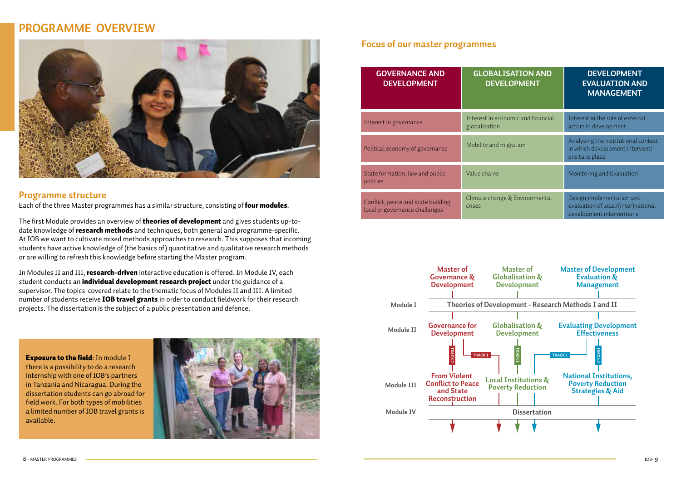## **Programme overview**



### **Programme structure**

Each of the three Master programmes has a similar structure, consisting of **four modules**.

The first Module provides an overview of **theories of development** and gives students up-todate knowledge of **research methods** and techniques, both general and programme-specific. At IOB we want to cultivate mixed methods approaches to research. This supposes that incoming students have active knowledge of (the basics of) quantitative and qualitative research methods or are willing to refresh this knowledge before starting the Master program.

In Modules II and III, **research-driven** interactive education is offered. In Module IV, each student conducts an *individual development research project* under the guidance of a supervisor. The topics covered relate to the thematic focus of Modules II and III. A limited number of students receive **IOB travel grants** in order to conduct fieldwork for their research projects. The dissertation is the subject of a public presentation and defence.

Exposure to the field: In module I there is a possibility to do a research internship with one of IOB's partners in Tanzania and Nicaragua. During the dissertation students can go abroad for field work. For both types of mobilities a limited number of IOB travel grants is available.



### **Focus of our master programmes**

| <b>GOVERNANCE AND</b><br><b>DEVELOPMENT</b>                          | <b>GLOBALISATION AND</b><br><b>DEVELOPMENT</b>      | <b>DEVELOPMENT</b><br><b>EVALUATION AND</b><br><b>MANAGEMENT</b>                               |
|----------------------------------------------------------------------|-----------------------------------------------------|------------------------------------------------------------------------------------------------|
| Interest in governance                                               | Interest in economic and financial<br>globalisation | Interest in the role of external<br>actors in development                                      |
| Political economy of governance                                      | Mobility and migration                              | Analysing the institutional context<br>in which development interventi-<br>ons take place      |
| State formation, law and public<br>policies                          | Value chains                                        | Monitoring and Evaluation                                                                      |
| Conflict, peace and state building<br>local or governance challenges | Climate change & Environmental<br><i>crises</i>     | Design, implementation and<br>evaluation of local/(inter)national<br>development interventions |

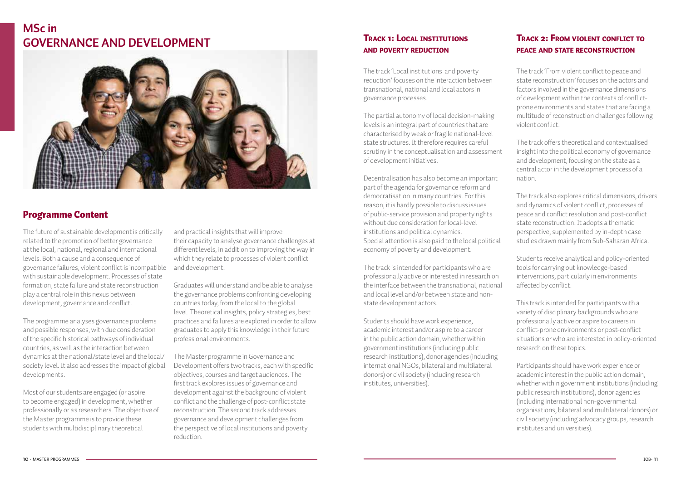# **MSc in Governance and development**



### Programme Content

The future of sustainable development is critically related to the promotion of better governance at the local, national, regional and international levels. Both a cause and a consequence of governance failures, violent conflict is incompatible with sustainable development. Processes of state formation, state failure and state reconstruction play a central role in this nexus between development, governance and conflict.

The programme analyses governance problems and possible responses, with due consideration of the specific historical pathways of individual countries, as well as the interaction between dynamics at the national/state level and the local/ society level. It also addresses the impact of global developments.

Most of our students are engaged (or aspire to become engaged) in development, whether professionally or as researchers. The objective of the Master programme is to provide these students with multidisciplinary theoretical

and practical insights that will improve their capacity to analyse governance challenges at different levels, in addition to improving the way in which they relate to processes of violent conflict and development.

Graduates will understand and be able to analyse the governance problems confronting developing countries today, from the local to the global level. Theoretical insights, policy strategies, best practices and failures are explored in order to allow graduates to apply this knowledge in their future professional environments.

The Master programme in Governance and Development offers two tracks, each with specific objectives, courses and target audiences. The first track explores issues of governance and development against the background of violent conflict and the challenge of post-conflict state reconstruction. The second track addresses governance and development challenges from the perspective of local institutions and poverty reduction.

### Track 1: Local institutions and poverty reduction

The track 'Local institutions and poverty reduction' focuses on the interaction between transnational, national and local actors in governance processes.

The partial autonomy of local decision-making levels is an integral part of countries that are characterised by weak or fragile national-level state structures. It therefore requires careful scrutiny in the conceptualisation and assessment of development initiatives.

Decentralisation has also become an important part of the agenda for governance reform and democratisation in many countries. For this reason, it is hardly possible to discuss issues of public-service provision and property rights without due consideration for local-level institutions and political dynamics. Special attention is also paid to the local political economy of poverty and development.

The track is intended for participants who are professionally active or interested in research on the interface between the transnational, national and local level and/or between state and nonstate development actors.

Students should have work experience, academic interest and/or aspire to a career in the public action domain, whether within government institutions (including public research institutions), donor agencies (including international NGOs, bilateral and multilateral donors) or civil society (including research institutes, universities).

### TRACK 2: FROM VIOLENT CONFLICT TO peace and state reconstruction

The track 'From violent conflict to peace and state reconstruction' focuses on the actors and factors involved in the governance dimensions of development within the contexts of conflictprone environments and states that are facing a multitude of reconstruction challenges following violent conflict.

The track offers theoretical and contextualised insight into the political economy of governance and development, focusing on the state as a central actor in the development process of a nation.

The track also explores critical dimensions, drivers and dynamics of violent conflict, processes of peace and conflict resolution and post-conflict state reconstruction. It adopts a thematic perspective, supplemented by in-depth case studies drawn mainly from Sub-Saharan Africa.

Students receive analytical and policy-oriented tools for carrying out knowledge-based interventions, particularly in environments affected by conflict.

This track is intended for participants with a variety of disciplinary backgrounds who are professionally active or aspire to careers in conflict-prone environments or post-conflict situations or who are interested in policy-oriented research on these topics.

Participants should have work experience or academic interest in the public action domain, whether within government institutions (including public research institutions), donor agencies (including international non-governmental organisations, bilateral and multilateral donors) or civil society (including advocacy groups, research institutes and universities).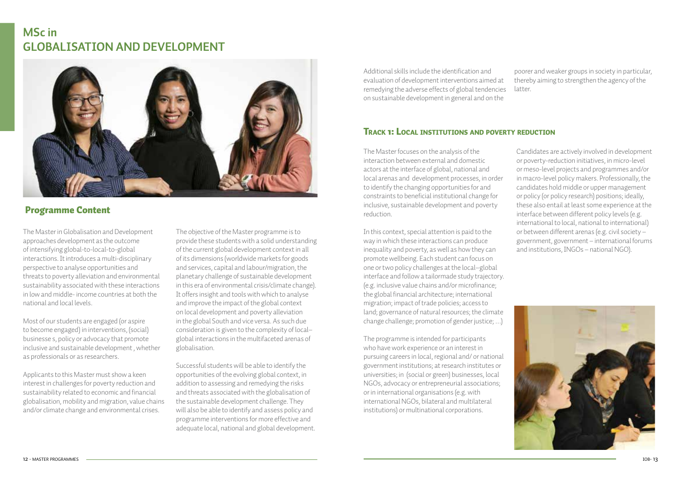# **MSc in globalisation and development**



### Programme Content

The Master in Globalisation and Development approaches development as the outcome of intensifying global-to-local-to-global interactions. It introduces a multi-disciplinary perspective to analyse opportunities and threats to poverty alleviation and environmental sustainability associated with these interactions in low and middle- income countries at both the national and local levels.

Most of our students are engaged (or aspire to become engaged) in interventions, (social) businesse s, policy or advocacy that promote inclusive and sustainable development , whether as professionals or as researchers.

Applicants to this Master must show a keen interest in challenges for poverty reduction and sustainability related to economic and financial globalisation, mobility and migration, value chains and/or climate change and environmental crises.

The objective of the Master programme is to provide these students with a solid understanding of the current global development context in all of its dimensions (worldwide markets for goods and services, capital and labour/migration, the planetary challenge of sustainable development in this era of environmental crisis/climate change). It offers insight and tools with which to analyse and improve the impact of the global context on local development and poverty alleviation in the global South and vice versa. As such due consideration is given to the complexity of local– global interactions in the multifaceted arenas of globalisation.

Successful students will be able to identify the opportunities of the evolving global context, in addition to assessing and remedying the risks and threats associated with the globalisation of the sustainable development challenge. They will also be able to identify and assess policy and programme interventions for more effective and adequate local, national and global development. Additional skills include the identification and evaluation of development interventions aimed at remedying the adverse effects of global tendencies on sustainable development in general and on the

poorer and weaker groups in society in particular, thereby aiming to strengthen the agency of the latter.

### Track 1: Local institutions and poverty reduction

The Master focuses on the analysis of the interaction between external and domestic actors at the interface of global, national and local arenas and development processes, in order to identify the changing opportunities for and constraints to beneficial institutional change for inclusive, sustainable development and poverty reduction.

In this context, special attention is paid to the way in which these interactions can produce inequality and poverty, as well as how they can promote wellbeing. Each student can focus on one or two policy challenges at the local–global interface and follow a tailormade study trajectory. (e.g. inclusive value chains and/or microfinance; the global financial architecture; international migration; impact of trade policies; access to land; governance of natural resources; the climate change challenge; promotion of gender justice; …)

The programme is intended for participants who have work experience or an interest in pursuing careers in local, regional and/ or national government institutions; at research institutes or universities; in (social or green) businesses, local NGOs, advocacy or entrepreneurial associations; or in international organisations (e.g. with international NGOs, bilateral and multilateral institutions) or multinational corporations.

Candidates are actively involved in development or poverty-reduction initiatives, in micro-level or meso-level projects and programmes and/or in macro-level policy makers. Professionally, the candidates hold middle or upper management or policy (or policy research) positions; ideally, these also entail at least some experience at the interface between different policy levels (e.g. international to local, national to international) or between different arenas (e.g. civil society – government, government – international forums and institutions, INGOs – national NGO).

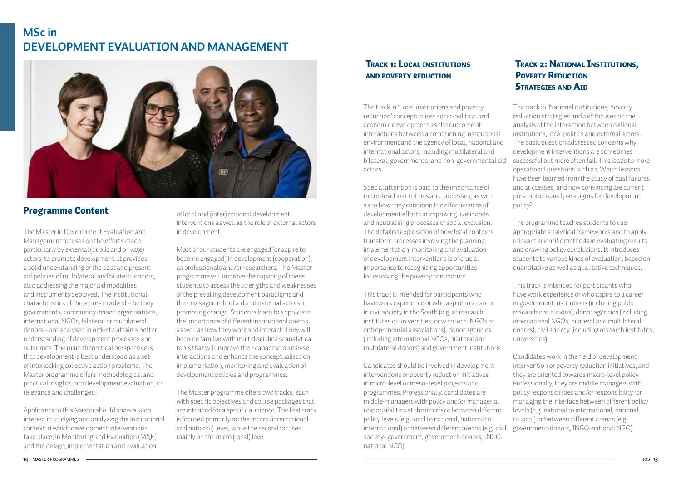# **MSc in Development Evaluation and Management**



### Programme Content

The Master in Development Evaluation and Management focuses on the efforts made, particularly by external (public and private) actors, to promote development. It provides a solid understanding of the past and present aid policies of multilateral and bilateral donors, also addressing the major aid modalities and instruments deployed. The institutional characteristics of the actors involved – be they governments, community-based organisations, international NGOs, bilateral or multilateral donors – are analysed in order to attain a better understanding of development processes and outcomes. The main theoretical perspective is that development is best understood as a set of interlocking collective action problems. The Master programme offers methodological and practical insights into development evaluation, its relevance and challenges.

Applicants to this Master should show a keen interest in studying and analyzing the institutional context in which development interventions take place, in Monitoring and Evaluation (M&E) and the design, implementation and evaluation

of local and (inter) national development interventions as well as the role of external actors in development.

Most of our students are engaged (or aspire to become engaged) in development (cooperation), as professionals and/or researchers. The Master programme will improve the capacity of these students to assess the strengths and weaknesses of the prevailing development paradigms and the envisaged role of aid and external actors in promoting change. Students learn to appreciate the importance of different institutional arenas, as well as how they work and interact. They will become familiar with multidisciplinary analytical tools that will improve their capacity to analyse interactions and enhance the conceptualisation, implementation, monitoring and evaluation of development policies and programmes.

The Master programme offers two tracks, each with specific objectives and course packages that are intended for a specific audience. The first track is focused primarily on the macro (international and national) level, while the second focuses mainly on the micro (local) level.

### Track 1: Local institutions and poverty reduction

The track in 'Local institutions and poverty reduction' conceptualises socio-political and economic development as the outcome of interactions between a conditioning institutional environment and the agency of local, national and international actors, including multilateral and bilateral, governmental and non-governmental aid actors.

Special attention is paid to the importance of micro-level institutions and processes, as well as to how they condition the effectiveness of development efforts in improving livelihoods and neutralising processes of social exclusion. The detailed exploration of how local contexts transform processes involving the planning, implementation, monitoring and evaluation of development interventions is of crucial importance to recognising opportunities for resolving the poverty conundrum.

This track is intended for participants who have work experience or who aspire to a career in civil society in the South (e.g. at research institutes or universities, or with local NGOs or entrepreneurial associations), donor agencies (including international NGOs, bilateral and multilateral donors) and government institutions.

Candidates should be involved in development interventions or poverty reduction initiatives in micro-level or meso- level projects and programmes. Professionally, candidates are middle-managers with policy and/or managerial responsibilities at the interface between different policy levels (e.g. local to national, national to international) or between different arenas (e.g. civil government-donors, INGO-national NGO).society- government, government-donors, INGOnational NGO).

### Track 2: National Institutions, **POVERTY REDUCTION STRATEGIES AND AID**

The track in 'National institutions, poverty reduction strategies and aid' focuses on the analysis of the interaction between national institutions, local politics and external actors. The basic question addressed concerns why development interventions are sometimes successful but more often fail. This leads to more operational questions such as: Which lessons have been learned from the study of past failures and successes, and how convincing are current prescriptions and paradigms for development policy?

The programme teaches students to use appropriate analytical frameworks and to apply relevant scientific methods in evaluating results and drawing policy conclusions. It introduces students to various kinds of evaluation, based on quantitative as well as qualitative techniques.

This track is intended for participants who have work experience or who aspire to a career in government institutions (including public research institutions), donor agencies (including international NGOs, bilateral and multilateral donors), civil society (including research institutes, universities).

Candidates work in the field of development intervention or poverty reduction initiatives, and they are oriented towards macro-level policy. Professionally, they are middle managers with policy responsibilities and/or responsibility for managing the interface between different policy levels (e.g. national to international, national to local) or between different arenas (e.g.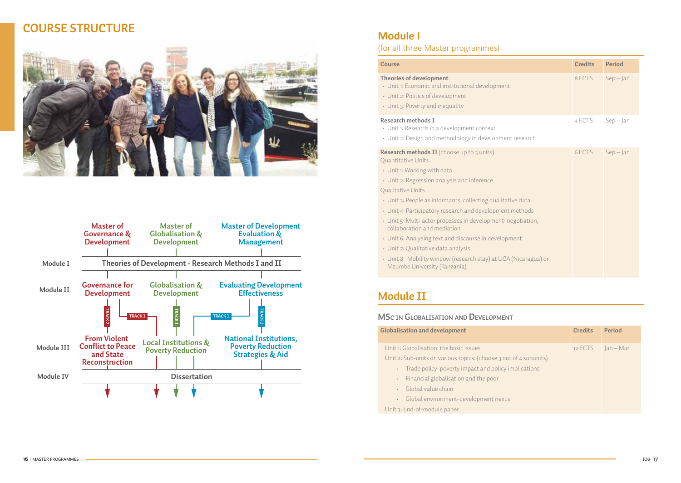# **course structure**





### **Module I**

(for all three Master programmes)

| Course                                                                                                                                               | <b>Credits</b> | Period      |
|------------------------------------------------------------------------------------------------------------------------------------------------------|----------------|-------------|
| Theories of development<br>• Unit 1: Economic and institutional development<br>• Unit 2: Politics of development<br>• Unit 3: Poverty and inequality | 8 ECTS         | $Sep - Jan$ |
| Research methods I<br>• Unit 1: Research in a development context                                                                                    | 4 ECTS         | Sep – Jan   |

• Unit 2: Design and methodology in development research

| <b>Research methods II</b> (choose up to 3 units)<br>Quantitative Units                         | 6 ECTS | $Sep - Jan$ |
|-------------------------------------------------------------------------------------------------|--------|-------------|
| • Unit 1: Working with data                                                                     |        |             |
| • Unit 2: Regression analysis and inference                                                     |        |             |
| Qualitative Units                                                                               |        |             |
| • Unit 3: People as informants: collecting qualitative data                                     |        |             |
| • Unit 4: Participatory research and development methods                                        |        |             |
| • Unit 5: Multi-actor processes in development: negotiation,<br>collaboration and mediation     |        |             |
| • Unit 6: Analysing text and discourse in development                                           |        |             |
| • Unit 7: Qualitative data analysis                                                             |        |             |
| • Unit 8: Mobility window (research stay) at UCA (Nicaragua) or<br>Mzumbe University (Tanzania) |        |             |
|                                                                                                 |        |             |

# **Module II**

#### **MSc in Globalisation and Development**

| <b>Globalisation and development</b>                              | <b>Credits</b> | Period    |
|-------------------------------------------------------------------|----------------|-----------|
| Unit 1: Globalisation: the basic issues                           | 12 ECTS        | Jan – Mar |
| Unit 2: Sub-units on various topics: (choose 3 out of 4 subunits) |                |           |
| Trade policy: poverty impact and policy implications              |                |           |
| Financial globalisation and the poor<br>×.                        |                |           |
| Global value chain<br>÷                                           |                |           |
| Global environment-development nexus<br>×.                        |                |           |
| Unit 3: End-of-module paper                                       |                |           |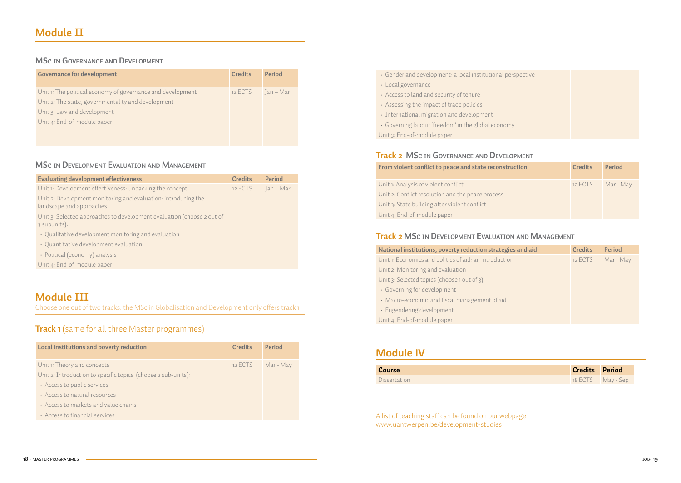### **MSc in Governance and Development**

| Governance for development                                  | <b>Credits</b> | Period      |
|-------------------------------------------------------------|----------------|-------------|
| Unit 1: The political economy of governance and development | 12 ECTS        | - Jan – Mar |
| Unit 2: The state, governmentality and development          |                |             |
| Unit 3: Law and development                                 |                |             |
| Unit 4: End-of-module paper                                 |                |             |
|                                                             |                |             |

### **MSc in Development Evaluation and Management**

| <b>Evaluating development effectiveness</b>                                                | <b>Credits</b> | Period    |
|--------------------------------------------------------------------------------------------|----------------|-----------|
| Unit 1: Development effectiveness: unpacking the concept                                   | 12 ECTS        | Jan – Mar |
| Unit 2: Development monitoring and evaluation: introducing the<br>landscape and approaches |                |           |
| Unit 3: Selected approaches to development evaluation (choose 2 out of<br>3 subunits):     |                |           |
| • Qualitative development monitoring and evaluation                                        |                |           |
| • Quantitative development evaluation                                                      |                |           |
| · Political (economy) analysis                                                             |                |           |

Unit 4: End-of-module paper

## **Module III**

Choose one out of two tracks. the MSc in Globalisation and Development only offers track 1

### **Track 1** (same for all three Master programmes)

| Local institutions and poverty reduction                      | <b>Credits</b> | Period    |
|---------------------------------------------------------------|----------------|-----------|
| Unit 1: Theory and concepts                                   | 12 ECTS        | Mar - May |
| Unit 2: Introduction to specific topics (choose 2 sub-units): |                |           |
| Access to public services                                     |                |           |
| · Access to natural resources                                 |                |           |
| · Access to markets and value chains                          |                |           |
| · Access to financial services                                |                |           |

| Gender and development: a local institutional perspective |
|-----------------------------------------------------------|
| • Local governance                                        |
| Access to land and security of tenure                     |
| Assessing the impact of trade policies                    |
| · International migration and development                 |
| • Governing labour 'freedom' in the global economy        |
| Unit 3: End-of-module paper                               |

### **Track 2 MSc in Governance and Development**

| From violent conflict to peace and state reconstruction | <b>Credits</b> | Period    |
|---------------------------------------------------------|----------------|-----------|
| Unit 1: Analysis of violent conflict                    | 12 ECTS        | Mar - May |
| Unit 2: Conflict resolution and the peace process       |                |           |
| Unit 3: State building after violent conflict           |                |           |
| Unit 4: End-of-module paper                             |                |           |

### **Track 2 MSc in Development Evaluation and Management**

| National institutions, poverty reduction strategies and aid | <b>Credits</b> | Period    |
|-------------------------------------------------------------|----------------|-----------|
| Unit 1: Economics and politics of aid: an introduction      | 12 ECTS        | Mar - May |
| Unit 2: Monitoring and evaluation                           |                |           |
| Unit 3: Selected topics (choose 1 out of 3)                 |                |           |
| • Governing for development                                 |                |           |
| • Macro-economic and fiscal management of aid               |                |           |
| · Engendering development                                   |                |           |
| Unit 4: End-of-module paper                                 |                |           |

### **Module IV**

| Course              | <b>Credits Period</b> |                   |
|---------------------|-----------------------|-------------------|
| <b>Dissertation</b> |                       | 18 ECTS May - Sep |

A list of teaching staff can be found on our webpage www.uantwerpen.be/development-studies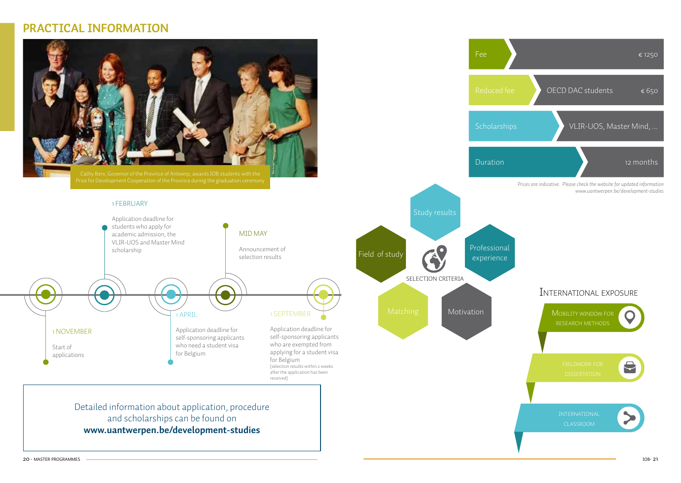### **practical information**

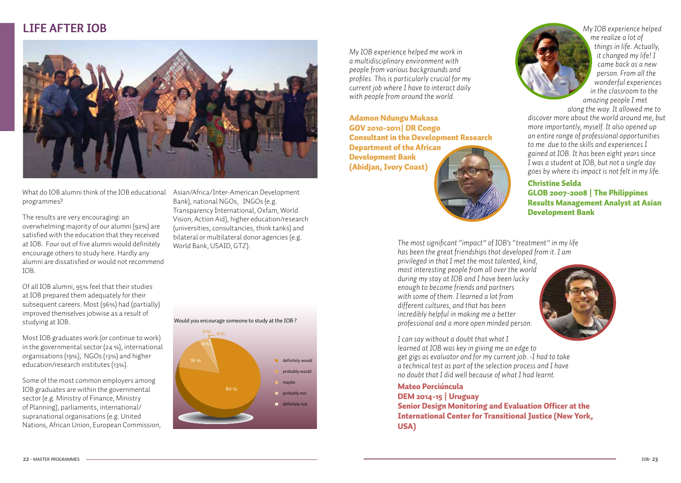

What do IOB alumni think of the IOB educational programmes?

The results are very encouraging: an overwhelming majority of our alumni (92%) are satisfied with the education that they received at IOB. Four out of five alumni would definitely encourage others to study here. Hardly any alumni are dissatisfied or would not recommend IOB.

Of all IOB alumni, 95% feel that their studies at IOB prepared them adequately for their subsequent careers. Most (96%) had (partially) improved themselves jobwise as a result of studying at IOB.

Most IOB graduates work (or continue to work) in the governmental sector (24 %), international organisations (19%), NGOs (13%) and higher education/research institutes (13%).

Some of the most common employers among IOB graduates are within the governmental sector (e.g. Ministry of Finance, Ministry of Planning), parliaments, international/ supranational organisations (e.g. United Nations, African Union, European Commission, Asian/Africa/Inter-American Development Bank), national NGOs, INGOs (e.g. Transparency International, Oxfam, World Vision, Action Aid), higher education/research (universities, consultancies, think tanks) and bilateral or multilateral donor agencies (e.g. World Bank, USAID, GTZ).

*My IOB experience helped me work in a multidisciplinary environment with people from various backgrounds and profiles. This is particularly crucial for my current job where I have to interact daily with people from around the world.* 

Adamon Ndungu Mukasa GOV 2010-2011| DR Congo Consultant in the Development Research Department of the African Development Bank (Abidjan, Ivory Coast)





*me realize a lot of things in life. Actually, it changed my life! I came back as a new person. From all the wonderful experiences in the classroom to the amazing people I met* 

*along the way. It allowed me to discover more about the world around me, but more importantly, myself. It also opened up an entire range of professional opportunities to me due to the skills and experiences I gained at IOB. It has been eight years since I was a student at IOB, but not a single day goes by where its impact is not felt in my life.*

Christine Selda GLOB 2007-2008 | The Philippines Results Management Analyst at Asian Development Bank

*The most significant "impact" of IOB's "treatment" in my life has been the great friendships that developed from it. I am* 

*privileged in that I met the most talented, kind, most interesting people from all over the world during my stay at IOB and I have been lucky enough to become friends and partners with some of them. I learned a lot from different cultures, and that has been incredibly helpful in making me a better professional and a more open minded person.*



*I can say without a doubt that what I learned at IOB was key in giving me an edge to get gigs as evaluator and for my current job. -I had to take a technical test as part of the selection process and I have no doubt that I did well because of what I had learnt.* 

Mateo Porciúncula DEM 2014-15 | Uruguay Senior Design Monitoring and Evaluation Officer at the International Center for Transitional Justice (New York, USA)

definitely would probably would maybe probably not definitely not Would you encourage someone to study at the IOB ? 80 % 4 % 0% 0%